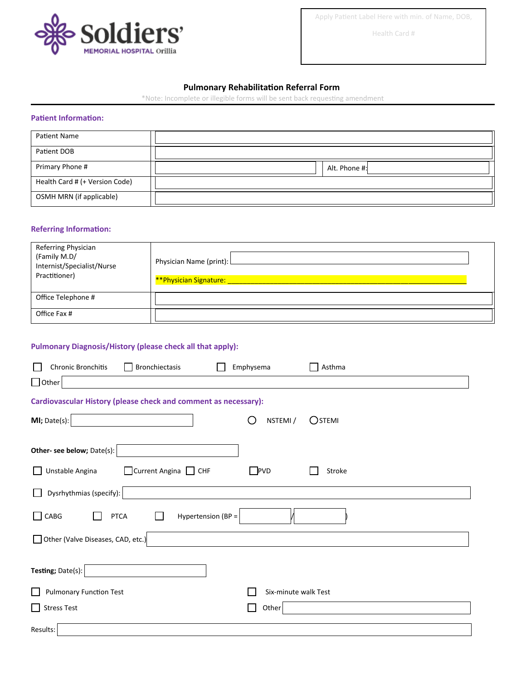

Apply Patient Label Here with min. of Name, DOB,

Health Card #

# **Pulmonary Rehabilitation Referral Form**

\*Note: Incomplete or illegible forms will be sent back requesting amendment

#### **Patient Information:**

| Patient Name                   |               |
|--------------------------------|---------------|
| Patient DOB                    |               |
| Primary Phone #                | Alt. Phone #: |
| Health Card # (+ Version Code) |               |
| OSMH MRN (if applicable)       |               |

#### **Referring Information:**

| Referring Physician<br>(Family M.D/<br>Internist/Specialist/Nurse<br>Practitioner) | Physician Name (print): L |
|------------------------------------------------------------------------------------|---------------------------|
| Office Telephone #                                                                 |                           |
| Office Fax #                                                                       |                           |

# **Pulmonary Diagnosis/History (please check all that apply):**

| Bronchiectasis<br><b>Chronic Bronchitis</b>                     | Emphysema<br>Asthma                    |  |  |  |
|-----------------------------------------------------------------|----------------------------------------|--|--|--|
| $\Box$ Other                                                    |                                        |  |  |  |
| Cardiovascular History (please check and comment as necessary): |                                        |  |  |  |
| MI; Date(s):                                                    | NSTEMI /<br>$O$ stemi<br>$\mathcal{L}$ |  |  |  |
|                                                                 |                                        |  |  |  |
| Other- see below; Date(s):                                      |                                        |  |  |  |
| $\Box$ Current Angina $\Box$ CHF<br>Unstable Angina             | $\Box$ PVD<br>Stroke                   |  |  |  |
| Dysrhythmias (specify):                                         |                                        |  |  |  |
| CABG<br>Hypertension (BP =<br><b>PTCA</b><br>$\blacksquare$     |                                        |  |  |  |
| Other (Valve Diseases, CAD, etc.)                               |                                        |  |  |  |
|                                                                 |                                        |  |  |  |
| Testing; Date(s):                                               |                                        |  |  |  |
| <b>Pulmonary Function Test</b>                                  | Six-minute walk Test                   |  |  |  |
| <b>Stress Test</b>                                              | Other                                  |  |  |  |
| Results:                                                        |                                        |  |  |  |